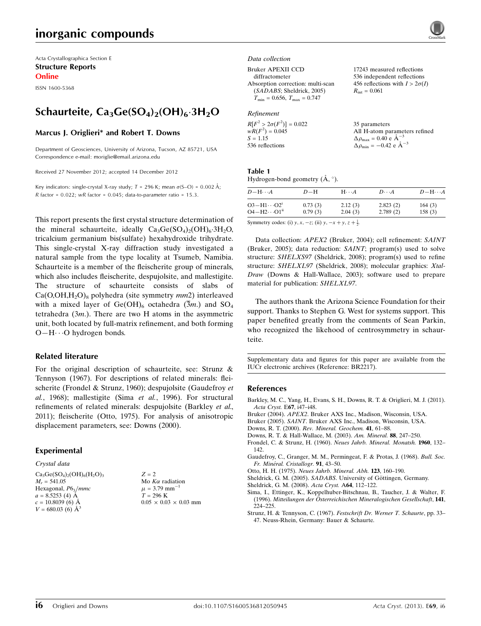# inorganic compounds

Acta Crystallographica Section E Structure Reports

Online

ISSN 1600-5368

# Schaurteite,  $\text{Ca}_3\text{Ge}(\text{SO}_4)_2(\text{OH})_6 \cdot 3\text{H}_2\text{O}$

#### Marcus J. Origlieri\* and Robert T. Downs

Department of Geosciences, University of Arizona, Tucson, AZ 85721, USA Correspondence e-mail: [moriglie@email.arizona.edu](https://scripts.iucr.org/cgi-bin/cr.cgi?rm=pdfbb&cnor=br2217&bbid=BB12)

Received 27 November 2012; accepted 14 December 2012

Key indicators: single-crystal X-ray study;  $T = 296$  K; mean  $\sigma$ (S-O) = 0.002 Å;  $R$  factor = 0.022;  $wR$  factor = 0.045; data-to-parameter ratio = 15.3.

This report presents the first crystal structure determination of the mineral schaurteite, ideally  $Ca<sub>3</sub>Ge(SO<sub>4</sub>)<sub>2</sub>(OH)<sub>6</sub>·3H<sub>2</sub>O$ , tricalcium germanium bis(sulfate) hexahydroxide trihydrate. This single-crystal X-ray diffraction study investigated a natural sample from the type locality at Tsumeb, Namibia. Schaurteite is a member of the fleischerite group of minerals, which also includes fleischerite, despujolsite, and mallestigite. The structure of schaurteite consists of slabs of  $Ca(O, OH, H<sub>2</sub>O)<sub>8</sub>$  polyhedra (site symmetry *mm*2) interleaved with a mixed layer of Ge(OH)<sub>6</sub> octahedra ( $\overline{3}m$ .) and SO<sub>4</sub> tetrahedra  $(3m)$ . There are two H atoms in the asymmetric unit, both located by full-matrix refinement, and both forming O-H··· O hydrogen bonds.

#### Related literature

For the original description of schaurteite, see: Strunz & Tennyson (1967). For descriptions of related minerals: fleischerite (Frondel & Strunz, 1960); despujolsite (Gaudefroy et al., 1968); mallestigite (Sima et al., 1996). For structural refinements of related minerals: despujolsite (Barkley et al., 2011); fleischerite (Otto, 1975). For analysis of anisotropic displacement parameters, see: Downs (2000).

#### Experimental

Crystal data  $Ca<sub>3</sub>Ge(SO<sub>4</sub>)<sub>2</sub>(OH)<sub>6</sub>(H<sub>2</sub>O)<sub>3</sub>$  $M_r = 541.05$ Hexagonal,  $P6_3/mmc$ 

 $a = 8.5253$  (4) Å  $c = 10.8039(6)$  Å  $V = 680.03$  (6)  $\AA^3$   $Z = 2$ Mo  $K\alpha$  radiation  $\mu$  = 3.79 mm<sup>-1</sup>  $T = 296 \text{ K}$  $0.05\,\times\,0.03\,\times\,0.03$  mm

#### Data collection

Bruker APEXII CCD

diffractometer Absorption correction: multi-scan (SADABS; Sheldrick, 2005)  $T_{\min} = 0.656, T_{\max} = 0.747$ 

#### Refinement

| $R[F^2 > 2\sigma(F^2)] = 0.022$ | 35 parameters                                              |
|---------------------------------|------------------------------------------------------------|
| $wR(F^2) = 0.045$               | All H-atom parameters refined                              |
| $S = 1.15$                      | $\Delta \rho_{\text{max}} = 0.40 \text{ e A}^{-3}$         |
| 536 reflections                 | $\Delta \rho_{\rm min} = -0.42 \text{ e } \text{\AA}^{-3}$ |

17243 measured reflections 536 independent reflections 456 reflections with  $I > 2\sigma(I)$ 

 $R_{\text{int}} = 0.061$ 

#### Table 1

Hydrogen-bond geometry  $(\mathring{A}, \degree)$ .

| $D$ $\!-\mathrm{H}\cdots A$                       | $D-H$              | $H\cdots A$ | $D\cdot\cdot\cdot A$ | $D - H \cdots A$ |
|---------------------------------------------------|--------------------|-------------|----------------------|------------------|
| $O3 - H1 \cdots O2^i$<br>$O4 - H2 \cdots O1^{ii}$ | 0.73(3)<br>0.79(3) | 2.12(3)     | 2.823(2)             | 164(3)           |
|                                                   |                    | 2.04(3)     | 2.789(2)             | 158(3)           |

Symmetry codes: (i)  $y, x, -z$ ; (ii)  $y, -x + y, z + \frac{1}{2}$ .

Data collection: APEX2 (Bruker, 2004); cell refinement: SAINT (Bruker, 2005); data reduction: SAINT; program(s) used to solve structure: SHELXS97 (Sheldrick, 2008); program(s) used to refine structure: SHELXL97 (Sheldrick, 2008); molecular graphics: Xtal-Draw (Downs & Hall-Wallace, 2003); software used to prepare material for publication: SHELXL97.

The authors thank the Arizona Science Foundation for their support. Thanks to Stephen G. West for systems support. This paper benefited greatly from the comments of Sean Parkin, who recognized the likehood of centrosymmetry in schaurteite.

Supplementary data and figures for this paper are available from the IUCr electronic archives (Reference: BR2217).

#### References

- [Barkley, M. C., Yang, H., Evans, S. H., Downs, R. T. & Origlieri, M. J. \(2011\).](https://scripts.iucr.org/cgi-bin/cr.cgi?rm=pdfbb&cnor=br2217&bbid=BB1) [Acta Cryst.](https://scripts.iucr.org/cgi-bin/cr.cgi?rm=pdfbb&cnor=br2217&bbid=BB1) E67, i47–i48.
- Bruker (2004). APEX2[. Bruker AXS Inc., Madison, Wisconsin, USA.](https://scripts.iucr.org/cgi-bin/cr.cgi?rm=pdfbb&cnor=br2217&bbid=BB2)
- Bruker (2005). SAINT[. Bruker AXS Inc., Madison, Wisconsin, USA.](https://scripts.iucr.org/cgi-bin/cr.cgi?rm=pdfbb&cnor=br2217&bbid=BB3)
- Downs, R. T. (2000). [Rev. Mineral. Geochem.](https://scripts.iucr.org/cgi-bin/cr.cgi?rm=pdfbb&cnor=br2217&bbid=BB4) 41, 61–88.
- [Downs, R. T. & Hall-Wallace, M. \(2003\).](https://scripts.iucr.org/cgi-bin/cr.cgi?rm=pdfbb&cnor=br2217&bbid=BB5) Am. Mineral. 88, 247–250.
- [Frondel, C. & Strunz, H. \(1960\).](https://scripts.iucr.org/cgi-bin/cr.cgi?rm=pdfbb&cnor=br2217&bbid=BB6) Neues Jahrb. Mineral. Monatsh. 1960, 132– [142.](https://scripts.iucr.org/cgi-bin/cr.cgi?rm=pdfbb&cnor=br2217&bbid=BB6)
- [Gaudefroy, C., Granger, M. M., Permingeat, F. & Protas, J. \(1968\).](https://scripts.iucr.org/cgi-bin/cr.cgi?rm=pdfbb&cnor=br2217&bbid=BB7) Bull. Soc. Fr. Minéral. Cristallogr. 91, 43–50.
- Otto, H. H. (1975). [Neues Jahrb. Mineral. Abh.](https://scripts.iucr.org/cgi-bin/cr.cgi?rm=pdfbb&cnor=br2217&bbid=BB8) 123, 160–190.
- Sheldrick, G. M. (2005). SADABS. University of Göttingen, Germany.
- [Sheldrick, G. M. \(2008\).](https://scripts.iucr.org/cgi-bin/cr.cgi?rm=pdfbb&cnor=br2217&bbid=BB10) Acta Cryst. A64, 112–122.
- [Sima, I., Ettinger, K., Koppelhuber-Bitschnau, B., Taucher, J. & Walter, F.](https://scripts.iucr.org/cgi-bin/cr.cgi?rm=pdfbb&cnor=br2217&bbid=BB11) (1996). Mitteilungen der Ö[sterreichischen Mineralogischen Gesellschaft](https://scripts.iucr.org/cgi-bin/cr.cgi?rm=pdfbb&cnor=br2217&bbid=BB11), 141, [224–225.](https://scripts.iucr.org/cgi-bin/cr.cgi?rm=pdfbb&cnor=br2217&bbid=BB11)
- [Strunz, H. & Tennyson, C. \(1967\).](https://scripts.iucr.org/cgi-bin/cr.cgi?rm=pdfbb&cnor=br2217&bbid=BB12) Festschrift Dr. Werner T. Schaurte, pp. 33– [47. Neuss-Rhein, Germany: Bauer & Schaurte.](https://scripts.iucr.org/cgi-bin/cr.cgi?rm=pdfbb&cnor=br2217&bbid=BB12)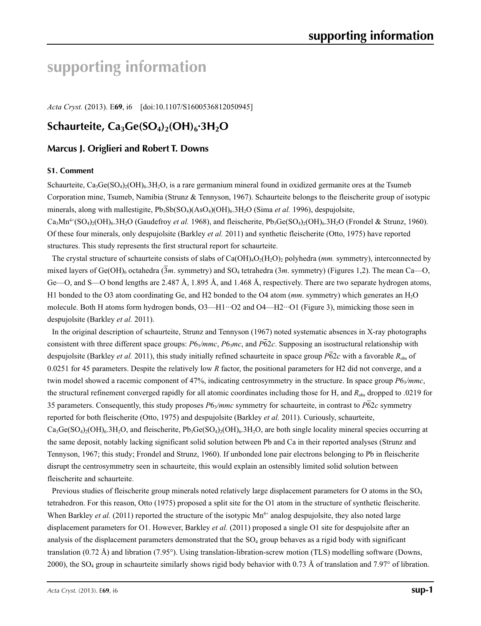# **supporting information**

*Acta Cryst.* (2013). E**69**, i6 [doi:10.1107/S1600536812050945]

## **Schaurteite, Ca3Ge(SO4)2(OH)6·3H2O**

## **Marcus J. Origlieri and Robert T. Downs**

#### **S1. Comment**

Schaurteite,  $Ca_3Ge(SO_4)_2(OH)_6.3H_2O$ , is a rare germanium mineral found in oxidized germanite ores at the Tsumeb Corporation mine, Tsumeb, Namibia (Strunz & Tennyson, 1967). Schaurteite belongs to the fleischerite group of isotypic minerals, along with mallestigite, Pb<sub>3</sub>Sb(SO<sub>4</sub>)(AsO<sub>4</sub>)(OH)<sub>6</sub>.3H<sub>2</sub>O (Sima *et al.* 1996), despujolsite,  $Ca<sub>3</sub>Mn<sup>4+</sup>(SO<sub>4</sub>)<sub>2</sub>(OH)<sub>6</sub>.3H<sub>2</sub>O$  (Gaudefroy *et al.* 1968), and fleischerite, Pb<sub>3</sub>Ge(SO<sub>4</sub>)<sub>2</sub>(OH)<sub>6</sub>.3H<sub>2</sub>O (Frondel & Strunz, 1960). Of these four minerals, only despujolsite (Barkley *et al.* 2011) and synthetic fleischerite (Otto, 1975) have reported structures. This study represents the first structural report for schaurteite.

The crystal structure of schaurteite consists of slabs of  $Ca(OH)<sub>4</sub>O<sub>2</sub>(H<sub>2</sub>O)<sub>2</sub>$  polyhedra (*mm.* symmetry), interconnected by mixed layers of Ge(OH)<sub>6</sub> octahedra (3*m*. symmetry) and SO<sub>4</sub> tetrahedra (3*m*. symmetry) (Figures 1,2). The mean Ca—O, Ge—O, and S—O bond lengths are 2.487 Å, 1.895 Å, and 1.468 Å, respectively. There are two separate hydrogen atoms, H1 bonded to the O3 atom coordinating Ge, and H2 bonded to the O4 atom (*mm*. symmetry) which generates an H<sub>2</sub>O molecule. Both H atoms form hydrogen bonds, O3—H1···O2 and O4—H2···O1 (Figure 3), mimicking those seen in despujolsite (Barkley *et al.* 2011).

In the original description of schaurteite, Strunz and Tennyson (1967) noted systematic absences in X-ray photographs consistent with three different space groups:  $P6\sqrt{mnc}$ ,  $P6\sqrt{mc}$ , and  $P\overline{6}2c$ . Supposing an isostructural relationship with despujolsite (Barkley *et al.* 2011), this study initially refined schaurteite in space group *P*62*c* with a favorable *R*obs of 0.0251 for 45 parameters. Despite the relatively low *R* factor, the positional parameters for H2 did not converge, and a twin model showed a racemic component of 47%, indicating centrosymmetry in the structure. In space group  $P6_3/mmc$ , the structural refinement converged rapidly for all atomic coordinates including those for H, and  $R_{obs}$  dropped to .0219 for 35 parameters. Consequently, this study proposes  $P6\sqrt{m}mc$  symmetry for schaurteite, in contrast to  $P\overline{6}2c$  symmetry reported for both fleischerite (Otto, 1975) and despujolsite (Barkley *et al.* 2011). Curiously, schaurteite,  $Ca_3Ge(SO_4)_2(OH)_6.3H_2O$ , and fleischerite,  $Pb_3Ge(SO_4)_2(OH)_6.3H_2O$ , are both single locality mineral species occurring at the same deposit, notably lacking significant solid solution between Pb and Ca in their reported analyses (Strunz and Tennyson, 1967; this study; Frondel and Strunz, 1960). If unbonded lone pair electrons belonging to Pb in fleischerite disrupt the centrosymmetry seen in schaurteite, this would explain an ostensibly limited solid solution between fleischerite and schaurteite.

Previous studies of fleischerite group minerals noted relatively large displacement parameters for O atoms in the SO<sub>4</sub> tetrahedron. For this reason, Otto (1975) proposed a split site for the O1 atom in the structure of synthetic fleischerite. When Barkley *et al.* (2011) reported the structure of the isotypic Mn<sup>4+</sup> analog despujolsite, they also noted large displacement parameters for O1. However, Barkley *et al.* (2011) proposed a single O1 site for despujolsite after an analysis of the displacement parameters demonstrated that the  $SO<sub>4</sub>$  group behaves as a rigid body with significant translation (0.72 Å) and libration (7.95°). Using translation-libration-screw motion (TLS) modelling software (Downs, 2000), the SO4 group in schaurteite similarly shows rigid body behavior with 0.73 Å of translation and 7.97° of libration.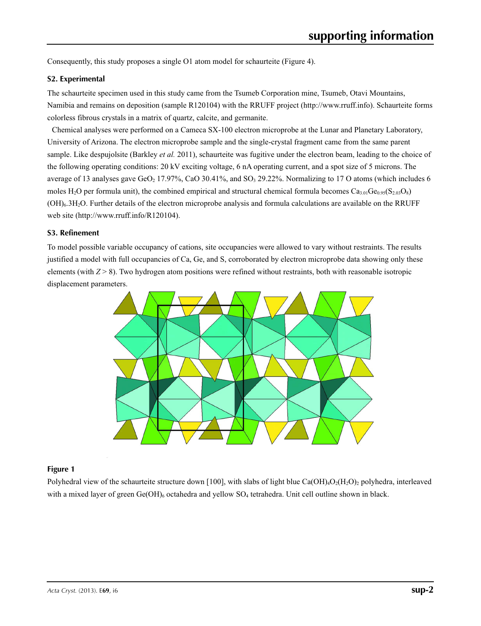Consequently, this study proposes a single O1 atom model for schaurteite (Figure 4).

#### **S2. Experimental**

The schaurteite specimen used in this study came from the Tsumeb Corporation mine, Tsumeb, Otavi Mountains, Namibia and remains on deposition (sample R120104) with the RRUFF project (http://www.rruff.info). Schaurteite forms colorless fibrous crystals in a matrix of quartz, calcite, and germanite.

Chemical analyses were performed on a Cameca SX-100 electron microprobe at the Lunar and Planetary Laboratory, University of Arizona. The electron microprobe sample and the single-crystal fragment came from the same parent sample. Like despujolsite (Barkley *et al.* 2011), schaurteite was fugitive under the electron beam, leading to the choice of the following operating conditions: 20 kV exciting voltage, 6 nA operating current, and a spot size of 5 microns. The average of 13 analyses gave GeO<sub>2</sub> 17.97%, CaO 30.41%, and SO<sub>3</sub> 29.22%. Normalizing to 17 O atoms (which includes 6 moles H<sub>2</sub>O per formula unit), the combined empirical and structural chemical formula becomes  $Ca_{3.01}Ge_{0.95}(S_{2.03}O_8)$ (OH)6.3H2O. Further details of the electron microprobe analysis and formula calculations are available on the RRUFF web site (http://www.rruff.info/R120104).

#### **S3. Refinement**

To model possible variable occupancy of cations, site occupancies were allowed to vary without restraints. The results justified a model with full occupancies of Ca, Ge, and S, corroborated by electron microprobe data showing only these elements (with  $Z > 8$ ). Two hydrogen atom positions were refined without restraints, both with reasonable isotropic displacement parameters.



#### **Figure 1**

Polyhedral view of the schaurteite structure down [100], with slabs of light blue Ca(OH)<sub>4</sub>O<sub>2</sub>(H<sub>2</sub>O)<sub>2</sub> polyhedra, interleaved with a mixed layer of green  $Ge(OH)_{6}$  octahedra and yellow  $SO_{4}$  tetrahedra. Unit cell outline shown in black.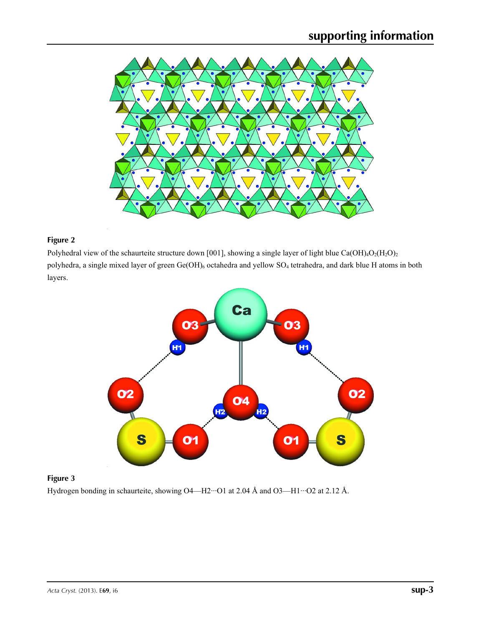

### **Figure 2**

Polyhedral view of the schaurteite structure down [001], showing a single layer of light blue Ca(OH)<sub>4</sub>O<sub>2</sub>(H<sub>2</sub>O)<sub>2</sub> polyhedra, a single mixed layer of green Ge(OH)<sub>6</sub> octahedra and yellow SO<sub>4</sub> tetrahedra, and dark blue H atoms in both layers.



#### **Figure 3**

Hydrogen bonding in schaurteite, showing O4—H2···O1 at 2.04 Å and O3—H1···O2 at 2.12 Å.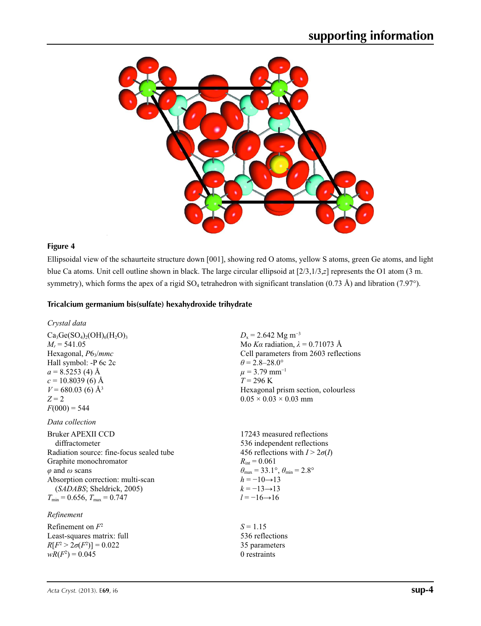

#### **Figure 4**

Ellipsoidal view of the schaurteite structure down [001], showing red O atoms, yellow S atoms, green Ge atoms, and light blue Ca atoms. Unit cell outline shown in black. The large circular ellipsoid at [2/3,1/3,*z*] represents the O1 atom (3 m. symmetry), which forms the apex of a rigid  $SO_4$  tetrahedron with significant translation (0.73 Å) and libration (7.97°).

#### **Tricalcium germanium bis(sulfate) hexahydroxide trihydrate**

*Crystal data*

 $Ca<sub>3</sub>Ge(SO<sub>4</sub>)<sub>2</sub>(OH)<sub>6</sub>(H<sub>2</sub>O)<sub>3</sub>$  $M_r = 541.05$ Hexagonal, *P*63/*mmc* Hall symbol: -P 6c 2c  $a = 8.5253$  (4) Å  $c = 10.8039$  (6) Å  $V = 680.03$  (6) Å<sup>3</sup>  $Z = 2$  $F(000) = 544$ 

#### *Data collection*

Bruker APEXII CCD diffractometer Radiation source: fine-focus sealed tube Graphite monochromator *φ* and *ω* scans Absorption correction: multi-scan (*SADABS*; Sheldrick, 2005)  $T_{\text{min}} = 0.656$ ,  $T_{\text{max}} = 0.747$ 

### *Refinement*

Refinement on *F*<sup>2</sup> Least-squares matrix: full *R*[ $F^2 > 2\sigma(F^2)$ ] = 0.022  $wR(F^2) = 0.045$ 

 $D_x = 2.642$  Mg m<sup>-3</sup> Mo *Kα* radiation,  $\lambda = 0.71073$  Å Cell parameters from 2603 reflections  $\theta$  = 2.8–28.0°  $\mu$  = 3.79 mm<sup>-1</sup>  $T = 296$  K Hexagonal prism section, colourless  $0.05 \times 0.03 \times 0.03$  mm

17243 measured reflections 536 independent reflections 456 reflections with  $I > 2\sigma(I)$  $R_{\text{int}} = 0.061$  $\theta_{\text{max}} = 33.1^{\circ}, \theta_{\text{min}} = 2.8^{\circ}$  $h = -10 \rightarrow 13$  $k = -13 \rightarrow 13$ *l* = −16→16

 $S = 1.15$ 536 reflections 35 parameters 0 restraints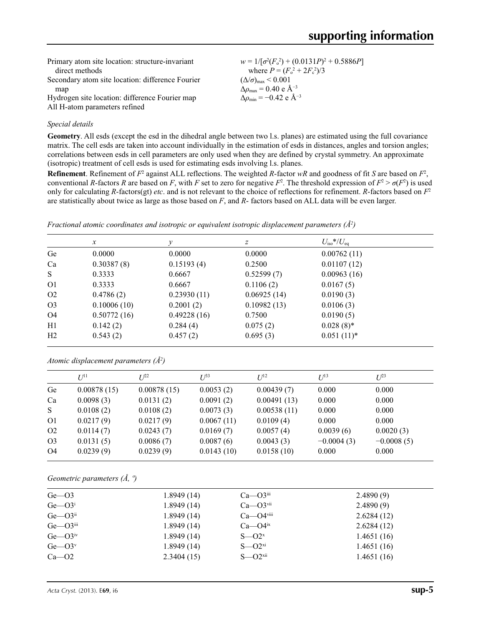| Primary atom site location: structure-invariant  | $w = 1/[\sigma^2(F_0^2) + (0.0131P)^2 + 0.5886P]$  |
|--------------------------------------------------|----------------------------------------------------|
| direct methods                                   | where $P = (F_o^2 + 2F_c^2)/3$                     |
| Secondary atom site location: difference Fourier | $(\Delta/\sigma)_{\text{max}}$ < 0.001             |
| map                                              | $\Delta \rho_{\text{max}} = 0.40 \text{ e A}^{-3}$ |
| Hydrogen site location: difference Fourier map   | $\Delta \rho_{\rm min} = -0.42 \text{ e A}^{-3}$   |
| All H-atom parameters refined                    |                                                    |

#### *Special details*

**Geometry**. All esds (except the esd in the dihedral angle between two l.s. planes) are estimated using the full covariance matrix. The cell esds are taken into account individually in the estimation of esds in distances, angles and torsion angles; correlations between esds in cell parameters are only used when they are defined by crystal symmetry. An approximate (isotropic) treatment of cell esds is used for estimating esds involving l.s. planes.

**Refinement**. Refinement of  $F^2$  against ALL reflections. The weighted *R*-factor  $wR$  and goodness of fit *S* are based on  $F^2$ , conventional *R*-factors *R* are based on *F*, with *F* set to zero for negative  $F^2$ . The threshold expression of  $F^2 > \sigma(F^2)$  is used only for calculating *R*-factors(gt) *etc*. and is not relevant to the choice of reflections for refinement. *R*-factors based on *F*<sup>2</sup> are statistically about twice as large as those based on *F*, and *R*- factors based on ALL data will be even larger.

*Fractional atomic coordinates and isotropic or equivalent isotropic displacement parameters (Å2 )*

|                | $\mathcal{X}$ | v           | $\boldsymbol{z}$ | $U_{\rm iso}$ */ $U_{\rm eq}$ |  |
|----------------|---------------|-------------|------------------|-------------------------------|--|
| Ge             | 0.0000        | 0.0000      | 0.0000           | 0.00762(11)                   |  |
| Ca             | 0.30387(8)    | 0.15193(4)  | 0.2500           | 0.01107(12)                   |  |
| S              | 0.3333        | 0.6667      | 0.52599(7)       | 0.00963(16)                   |  |
| O <sub>1</sub> | 0.3333        | 0.6667      | 0.1106(2)        | 0.0167(5)                     |  |
| O <sub>2</sub> | 0.4786(2)     | 0.23930(11) | 0.06925(14)      | 0.0190(3)                     |  |
| O <sub>3</sub> | 0.10006(10)   | 0.2001(2)   | 0.10982(13)      | 0.0106(3)                     |  |
| O4             | 0.50772(16)   | 0.49228(16) | 0.7500           | 0.0190(5)                     |  |
| H1             | 0.142(2)      | 0.284(4)    | 0.075(2)         | $0.028(8)$ *                  |  |
| H2             | 0.543(2)      | 0.457(2)    | 0.695(3)         | $0.051(11)^*$                 |  |

*Atomic displacement parameters (Å2 )*

|                | $I^{11}$    | I/22        | $I^{\beta 3}$ | $I^{12}$    | $I^{13}$     | $L^{23}$     |
|----------------|-------------|-------------|---------------|-------------|--------------|--------------|
| Ge             | 0.00878(15) | 0.00878(15) | 0.0053(2)     | 0.00439(7)  | 0.000        | 0.000        |
| Ca             | 0.0098(3)   | 0.0131(2)   | 0.0091(2)     | 0.00491(13) | 0.000        | 0.000        |
| <sub>S</sub>   | 0.0108(2)   | 0.0108(2)   | 0.0073(3)     | 0.00538(11) | 0.000        | 0.000        |
| O <sub>1</sub> | 0.0217(9)   | 0.0217(9)   | 0.0067(11)    | 0.0109(4)   | 0.000        | 0.000        |
| O <sub>2</sub> | 0.0114(7)   | 0.0243(7)   | 0.0169(7)     | 0.0057(4)   | 0.0039(6)    | 0.0020(3)    |
| O <sub>3</sub> | 0.0131(5)   | 0.0086(7)   | 0.0087(6)     | 0.0043(3)   | $-0.0004(3)$ | $-0.0008(5)$ |
| O4             | 0.0239(9)   | 0.0239(9)   | 0.0143(10)    | 0.0158(10)  | 0.000        | 0.000        |
|                |             |             |               |             |              |              |

*Geometric parameters (Å, º)*

| $Ge$ — $O3$                | 1.8949(14) | $Ca$ — $O3$ <sup>iii</sup>  | 2.4890(9)  |
|----------------------------|------------|-----------------------------|------------|
| $Ge$ — $O3i$               | 1.8949(14) | $Ca$ — $O3$ <sup>vii</sup>  | 2.4890(9)  |
| $Ge$ — $O3$ <sup>ii</sup>  | 1.8949(14) | $Ca$ — $O4$ <sup>viii</sup> | 2.6284(12) |
| $Ge$ — $O3$ <sup>iii</sup> | 1.8949(14) | $Ca$ - $O4^{ix}$            | 2.6284(12) |
| $Ge$ — $O3^{\text{iv}}$    | 1.8949(14) | $S - Q^x$                   | 1.4651(16) |
| $Ge$ — $O3^v$              | 1.8949(14) | $S - Q^{xi}$                | 1.4651(16) |
| $Ca$ — $O2$                | 2.3404(15) | $S - Q^{\text{xii}}$        | 1.4651(16) |
|                            |            |                             |            |